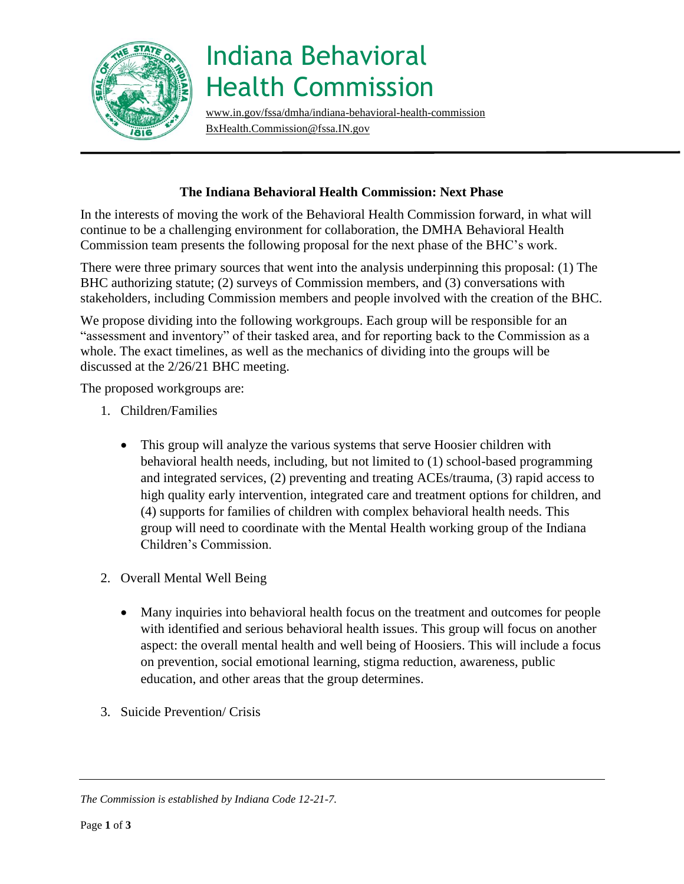

## Indiana Behavioral Health Commission

[www.in.gov/fssa/dmha/indiana-behavioral-health-commission](http://www.in.gov/fssa/dmha/indiana-behavioral-health-commission)  [BxHealth.Commission@fssa.IN.gov](mailto:BxHealth.Commission@fssa.IN.gov) 

## **The Indiana Behavioral Health Commission: Next Phase**

In the interests of moving the work of the Behavioral Health Commission forward, in what will continue to be a challenging environment for collaboration, the DMHA Behavioral Health Commission team presents the following proposal for the next phase of the BHC's work.

There were three primary sources that went into the analysis underpinning this proposal: (1) The BHC authorizing statute; (2) surveys of Commission members, and (3) conversations with stakeholders, including Commission members and people involved with the creation of the BHC.

We propose dividing into the following workgroups. Each group will be responsible for an "assessment and inventory" of their tasked area, and for reporting back to the Commission as a whole. The exact timelines, as well as the mechanics of dividing into the groups will be discussed at the 2/26/21 BHC meeting.

The proposed workgroups are:

- 1. Children/Families
	- This group will analyze the various systems that serve Hoosier children with behavioral health needs, including, but not limited to (1) school-based programming and integrated services, (2) preventing and treating ACEs/trauma, (3) rapid access to high quality early intervention, integrated care and treatment options for children, and (4) supports for families of children with complex behavioral health needs. This group will need to coordinate with the Mental Health working group of the Indiana Children's Commission.
- 2. Overall Mental Well Being
	- Many inquiries into behavioral health focus on the treatment and outcomes for people with identified and serious behavioral health issues. This group will focus on another aspect: the overall mental health and well being of Hoosiers. This will include a focus on prevention, social emotional learning, stigma reduction, awareness, public education, and other areas that the group determines.
- 3. Suicide Prevention/ Crisis

*The Commission is established by Indiana Code 12-21-7.*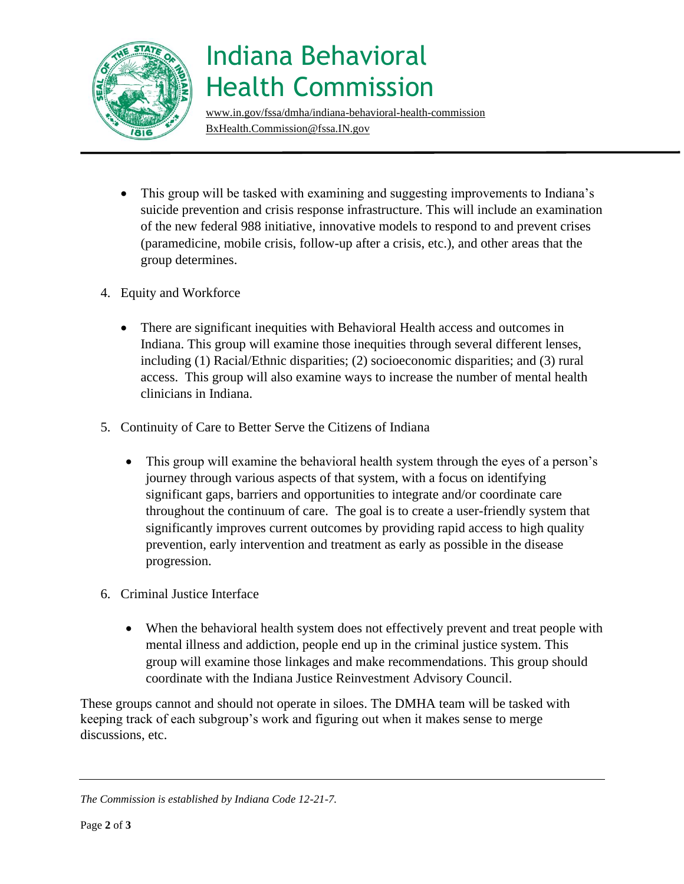

## Indiana Behavioral Health Commission

[www.in.gov/fssa/dmha/indiana-behavioral-health-commission](http://www.in.gov/fssa/dmha/indiana-behavioral-health-commission) [BxHealth.Commission@fssa.IN.gov](mailto:BxHealth.Commission@fssa.IN.gov)

- This group will be tasked with examining and suggesting improvements to Indiana's suicide prevention and crisis response infrastructure. This will include an examination of the new federal 988 initiative, innovative models to respond to and prevent crises (paramedicine, mobile crisis, follow-up after a crisis, etc.), and other areas that the group determines.
- 4. Equity and Workforce
	- There are significant inequities with Behavioral Health access and outcomes in Indiana. This group will examine those inequities through several different lenses, including (1) Racial/Ethnic disparities; (2) socioeconomic disparities; and (3) rural access. This group will also examine ways to increase the number of mental health clinicians in Indiana.
- 5. Continuity of Care to Better Serve the Citizens of Indiana
	- This group will examine the behavioral health system through the eyes of a person's journey through various aspects of that system, with a focus on identifying significant gaps, barriers and opportunities to integrate and/or coordinate care throughout the continuum of care. The goal is to create a user-friendly system that significantly improves current outcomes by providing rapid access to high quality prevention, early intervention and treatment as early as possible in the disease progression.
- 6. Criminal Justice Interface
	- When the behavioral health system does not effectively prevent and treat people with mental illness and addiction, people end up in the criminal justice system. This group will examine those linkages and make recommendations. This group should coordinate with the Indiana Justice Reinvestment Advisory Council.

These groups cannot and should not operate in siloes. The DMHA team will be tasked with keeping track of each subgroup's work and figuring out when it makes sense to merge discussions, etc.

*The Commission is established by Indiana Code 12-21-7.*